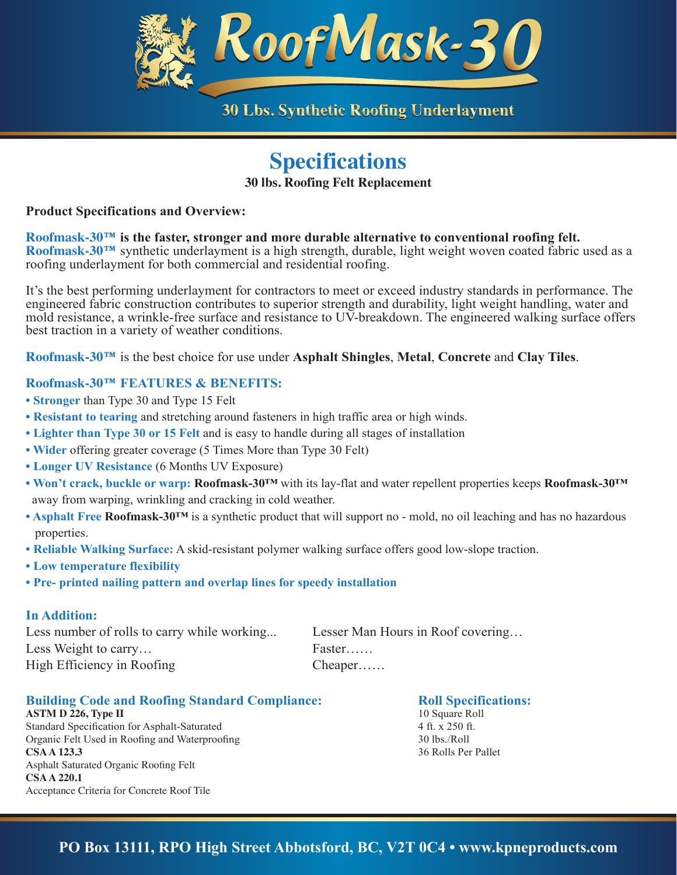

## **Specifications**

**30 lbs. Roofing Felt Replacement**

#### **Product Specifications and Overview:**

**Roofmask-30™ is the faster, stronger and more durable alternative to conventional roofing felt. Roofmask-30™** synthetic underlayment is a high strength, durable, light weight woven coated fabric used as a roofing underlayment for both commercial and residential roofing.

It's the best performing underlayment for contractors to meet or exceed industry standards in performance. The engineered fabric construction contributes to superior strength and durability, light weight handling, water and mold resistance, a wrinkle-free surface and resistance to UV-breakdown. The engineered walking surface offers best traction in a variety of weather conditions.

**Roofmask-30™** is the best choice for use under **Asphalt Shingles**, **Metal**, **Concrete** and **Clay Tiles**.

### **Roofmask-30™ FEATURES & BENEFITS:**

- **• Stronger** than Type 30 and Type 15 Felt
- **• Resistant to tearing** and stretching around fasteners in high traffic area or high winds.
- **• Lighter than Type 30 or 15 Felt** and is easy to handle during all stages of installation
- **• Wider** offering greater coverage (5 Times More than Type 30 Felt)
- **• Longer UV Resistance** (6 Months UV Exposure)
- **• Won't crack, buckle or warp: Roofmask-30™** with its lay-flat and water repellent properties keeps **Roofmask-30™** away from warping, wrinkling and cracking in cold weather.
- **• Asphalt Free Roofmask-30™** is a synthetic product that will support no mold, no oil leaching and has no hazardous properties.
- **• Reliable Walking Surface:** A skid-resistant polymer walking surface offers good low-slope traction.
- **• Low temperature flexibility**
- **• Pre- printed nailing pattern and overlap lines for speedy installation**

#### **In Addition:**

| Less number of rolls to carry while working | Lesser Man Hours in Roof covering |
|---------------------------------------------|-----------------------------------|
| Less Weight to carry                        | Faster                            |
| High Efficiency in Roofing                  | $Cheaper. \ldots$                 |

#### **Building Code and Roofing Standard Compliance:**

**ASTM D 226, Type II** Standard Specification for Asphalt-Saturated Organic Felt Used in Roofing and Waterproofing **CSA A 123.3**  Asphalt Saturated Organic Roofing Felt **CSA A 220.1** Acceptance Criteria for Concrete Roof Tile

#### **Roll Specifications:**

10 Square Roll 4 ft. x 250 ft. 30 lbs./Roll 36 Rolls Per Pallet